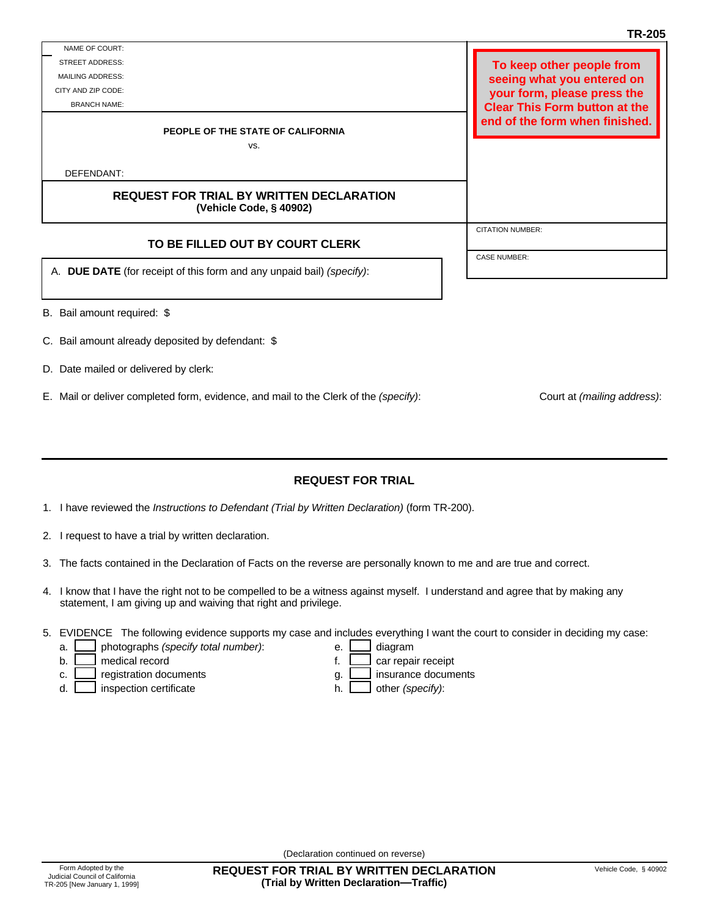DEFENDANT:

STREET ADDRESS: MAILING ADDRESS: CITY AND ZIP CODE: BRANCH NAME:

NAME OF COURT:

B. Bail amount required: \$

- C. Bail amount already deposited by defendant: \$
- D. Date mailed or delivered by clerk:

E. Mail or deliver completed form, evidence, and mail to the Clerk of the *(specify)*: Court at *(mailing address)*:

**REQUEST FOR TRIAL**

- 1. I have reviewed the *Instructions to Defendant (Trial by Written Declaration)* (form TR-200).
- I request to have a trial by written declaration. 2.
- 3. The facts contained in the Declaration of Facts on the reverse are personally known to me and are true and correct.
- 4. I know that I have the right not to be compelled to be a witness against myself. I understand and agree that by making any statement, I am giving up and waiving that right and privilege.
- 5. EVIDENCE The following evidence supports my case and includes everything I want the court to consider in deciding my case:

g. h.

medical record example of the car repair receipt b.

a.

- c.
- inspection certificate  $h.$   $\Box$  other *(specify)*: d.

(Declaration continued on reverse)

**REQUEST FOR TRIAL BY WRITTEN DECLARATION (Trial by Written Declaration—Traffic)**

photographs *(specify total number)*: e. e. diagram e. f.

registration documents insurance documents insurance documents

**REQUEST FOR TRIAL BY WRITTEN DECLARATION (Vehicle Code, § 40902)** *FOR COURT USE ONLY* **PEOPLE OF THE STATE OF CALIFORNIA** vs. **TR-205** CITATION NUMBER: CASE NUMBER: **TO BE FILLED OUT BY COURT CLERK DUE DATE** (for receipt of this form and any unpaid bail) *(specify)*: A. **To keep other people from seeing what you entered on your form, please press the Clear This Form button at the end of the form when finished.**